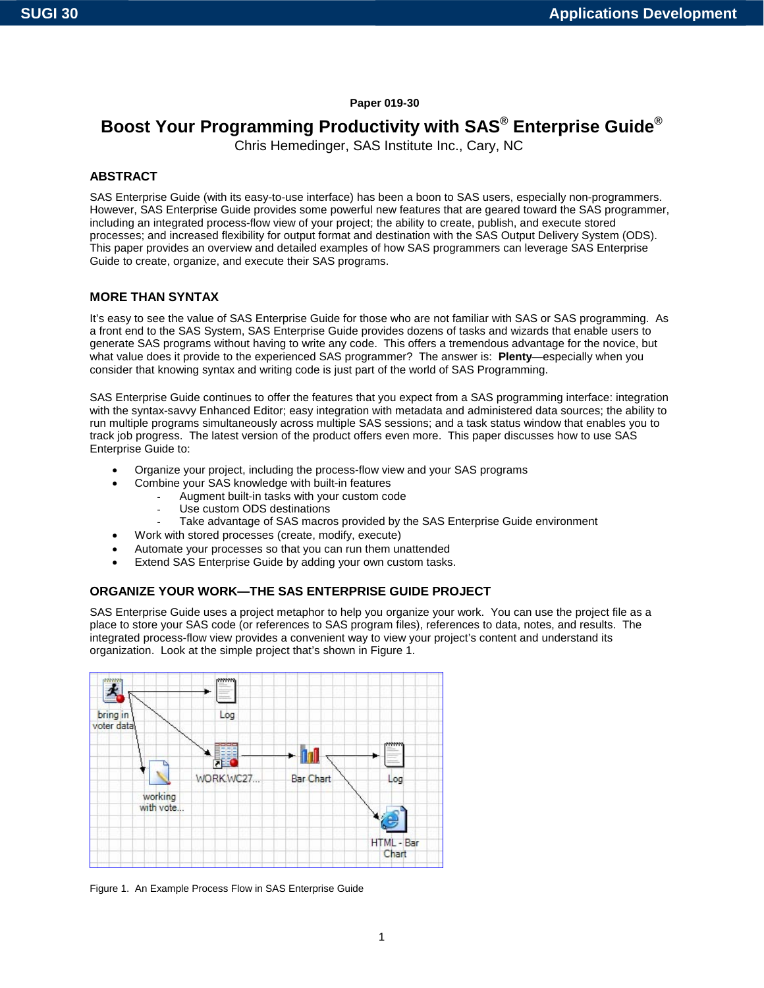# **Paper 019-30**

# **Boost Your Programming Productivity with SAS® Enterprise Guide®**

Chris Hemedinger, SAS Institute Inc., Cary, NC

## **ABSTRACT**

SAS Enterprise Guide (with its easy-to-use interface) has been a boon to SAS users, especially non-programmers. However, SAS Enterprise Guide provides some powerful new features that are geared toward the SAS programmer, including an integrated process-flow view of your project; the ability to create, publish, and execute stored processes; and increased flexibility for output format and destination with the SAS Output Delivery System (ODS). This paper provides an overview and detailed examples of how SAS programmers can leverage SAS Enterprise Guide to create, organize, and execute their SAS programs.

## **MORE THAN SYNTAX**

It's easy to see the value of SAS Enterprise Guide for those who are not familiar with SAS or SAS programming. As a front end to the SAS System, SAS Enterprise Guide provides dozens of tasks and wizards that enable users to generate SAS programs without having to write any code. This offers a tremendous advantage for the novice, but what value does it provide to the experienced SAS programmer? The answer is: **Plenty**—especially when you consider that knowing syntax and writing code is just part of the world of SAS Programming.

SAS Enterprise Guide continues to offer the features that you expect from a SAS programming interface: integration with the syntax-savvy Enhanced Editor; easy integration with metadata and administered data sources; the ability to run multiple programs simultaneously across multiple SAS sessions; and a task status window that enables you to track job progress. The latest version of the product offers even more. This paper discusses how to use SAS Enterprise Guide to:

- Organize your project, including the process-flow view and your SAS programs
- Combine your SAS knowledge with built-in features
	- Augment built-in tasks with your custom code
	- Use custom ODS destinations
	- Take advantage of SAS macros provided by the SAS Enterprise Guide environment
- Work with stored processes (create, modify, execute)
- Automate your processes so that you can run them unattended
- Extend SAS Enterprise Guide by adding your own custom tasks.

# **ORGANIZE YOUR WORK—THE SAS ENTERPRISE GUIDE PROJECT**

SAS Enterprise Guide uses a project metaphor to help you organize your work. You can use the project file as a place to store your SAS code (or references to SAS program files), references to data, notes, and results. The integrated process-flow view provides a convenient way to view your project's content and understand its organization. Look at the simple project that's shown in Figure 1.



Figure 1. An Example Process Flow in SAS Enterprise Guide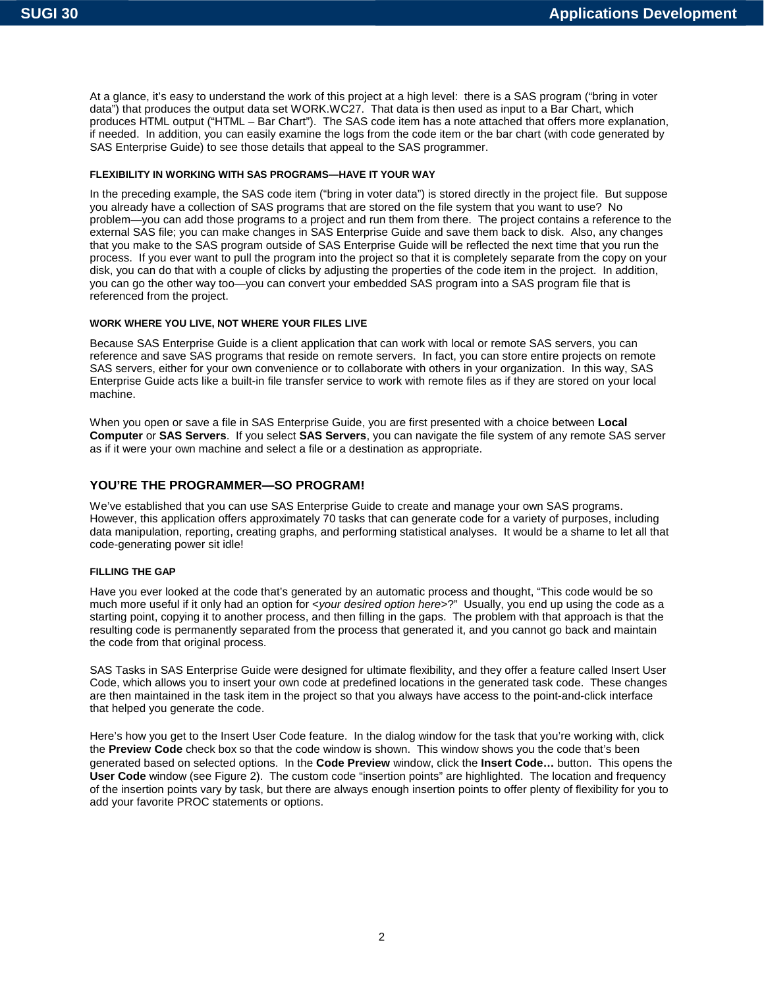At a glance, it's easy to understand the work of this project at a high level: there is a SAS program ("bring in voter data") that produces the output data set WORK.WC27. That data is then used as input to a Bar Chart, which produces HTML output ("HTML – Bar Chart"). The SAS code item has a note attached that offers more explanation, if needed. In addition, you can easily examine the logs from the code item or the bar chart (with code generated by SAS Enterprise Guide) to see those details that appeal to the SAS programmer.

#### **FLEXIBILITY IN WORKING WITH SAS PROGRAMS—HAVE IT YOUR WAY**

In the preceding example, the SAS code item ("bring in voter data") is stored directly in the project file. But suppose you already have a collection of SAS programs that are stored on the file system that you want to use? No problem—you can add those programs to a project and run them from there. The project contains a reference to the external SAS file; you can make changes in SAS Enterprise Guide and save them back to disk. Also, any changes that you make to the SAS program outside of SAS Enterprise Guide will be reflected the next time that you run the process. If you ever want to pull the program into the project so that it is completely separate from the copy on your disk, you can do that with a couple of clicks by adjusting the properties of the code item in the project. In addition, you can go the other way too—you can convert your embedded SAS program into a SAS program file that is referenced from the project.

#### **WORK WHERE YOU LIVE, NOT WHERE YOUR FILES LIVE**

Because SAS Enterprise Guide is a client application that can work with local or remote SAS servers, you can reference and save SAS programs that reside on remote servers. In fact, you can store entire projects on remote SAS servers, either for your own convenience or to collaborate with others in your organization. In this way, SAS Enterprise Guide acts like a built-in file transfer service to work with remote files as if they are stored on your local machine.

When you open or save a file in SAS Enterprise Guide, you are first presented with a choice between **Local Computer** or **SAS Servers**. If you select **SAS Servers**, you can navigate the file system of any remote SAS server as if it were your own machine and select a file or a destination as appropriate.

## **YOU'RE THE PROGRAMMER—SO PROGRAM!**

We've established that you can use SAS Enterprise Guide to create and manage your own SAS programs. However, this application offers approximately 70 tasks that can generate code for a variety of purposes, including data manipulation, reporting, creating graphs, and performing statistical analyses. It would be a shame to let all that code-generating power sit idle!

#### **FILLING THE GAP**

Have you ever looked at the code that's generated by an automatic process and thought, "This code would be so much more useful if it only had an option for <*your desired option here*>?" Usually, you end up using the code as a starting point, copying it to another process, and then filling in the gaps. The problem with that approach is that the resulting code is permanently separated from the process that generated it, and you cannot go back and maintain the code from that original process.

SAS Tasks in SAS Enterprise Guide were designed for ultimate flexibility, and they offer a feature called Insert User Code, which allows you to insert your own code at predefined locations in the generated task code. These changes are then maintained in the task item in the project so that you always have access to the point-and-click interface that helped you generate the code.

Here's how you get to the Insert User Code feature. In the dialog window for the task that you're working with, click the **Preview Code** check box so that the code window is shown. This window shows you the code that's been generated based on selected options. In the **Code Preview** window, click the **Insert Code…** button. This opens the **User Code** window (see Figure 2). The custom code "insertion points" are highlighted. The location and frequency of the insertion points vary by task, but there are always enough insertion points to offer plenty of flexibility for you to add your favorite PROC statements or options.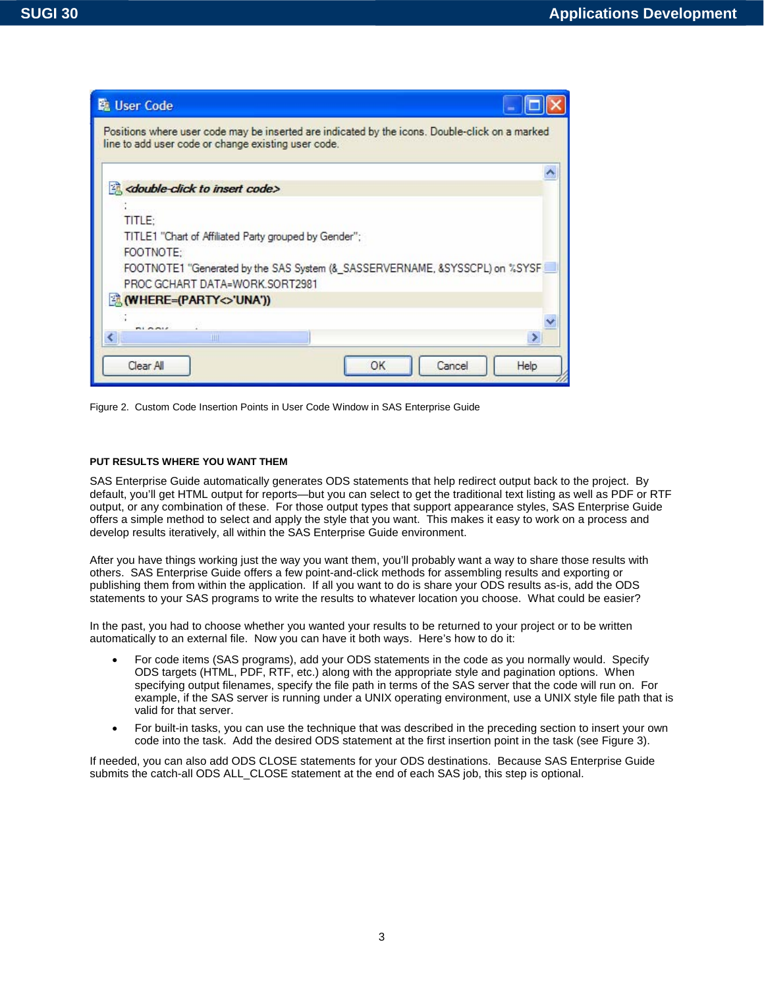

Figure 2. Custom Code Insertion Points in User Code Window in SAS Enterprise Guide

#### **PUT RESULTS WHERE YOU WANT THEM**

SAS Enterprise Guide automatically generates ODS statements that help redirect output back to the project. By default, you'll get HTML output for reports—but you can select to get the traditional text listing as well as PDF or RTF output, or any combination of these. For those output types that support appearance styles, SAS Enterprise Guide offers a simple method to select and apply the style that you want. This makes it easy to work on a process and develop results iteratively, all within the SAS Enterprise Guide environment.

After you have things working just the way you want them, you'll probably want a way to share those results with others. SAS Enterprise Guide offers a few point-and-click methods for assembling results and exporting or publishing them from within the application. If all you want to do is share your ODS results as-is, add the ODS statements to your SAS programs to write the results to whatever location you choose. What could be easier?

In the past, you had to choose whether you wanted your results to be returned to your project or to be written automatically to an external file. Now you can have it both ways. Here's how to do it:

- For code items (SAS programs), add your ODS statements in the code as you normally would. Specify ODS targets (HTML, PDF, RTF, etc.) along with the appropriate style and pagination options. When specifying output filenames, specify the file path in terms of the SAS server that the code will run on. For example, if the SAS server is running under a UNIX operating environment, use a UNIX style file path that is valid for that server.
- For built-in tasks, you can use the technique that was described in the preceding section to insert your own code into the task. Add the desired ODS statement at the first insertion point in the task (see Figure 3).

If needed, you can also add ODS CLOSE statements for your ODS destinations. Because SAS Enterprise Guide submits the catch-all ODS ALL\_CLOSE statement at the end of each SAS job, this step is optional.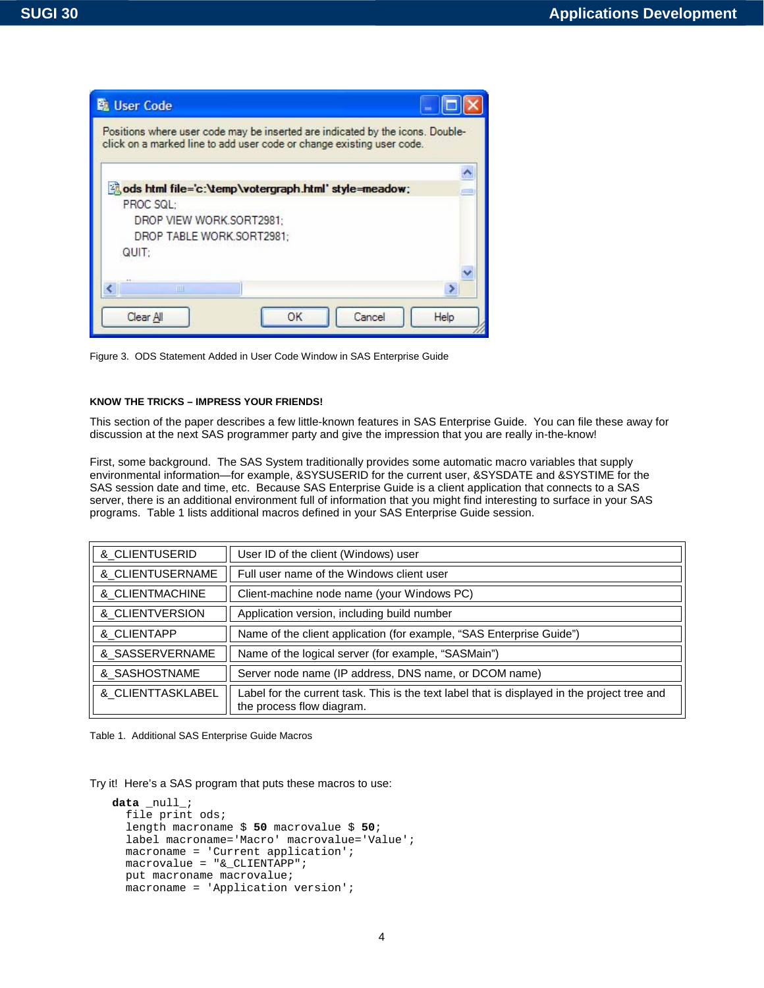

Figure 3. ODS Statement Added in User Code Window in SAS Enterprise Guide

#### **KNOW THE TRICKS – IMPRESS YOUR FRIENDS!**

This section of the paper describes a few little-known features in SAS Enterprise Guide. You can file these away for discussion at the next SAS programmer party and give the impression that you are really in-the-know!

First, some background. The SAS System traditionally provides some automatic macro variables that supply environmental information—for example, &SYSUSERID for the current user, &SYSDATE and &SYSTIME for the SAS session date and time, etc. Because SAS Enterprise Guide is a client application that connects to a SAS server, there is an additional environment full of information that you might find interesting to surface in your SAS programs. Table 1 lists additional macros defined in your SAS Enterprise Guide session.

| & CLIENTUSERID               | User ID of the client (Windows) user                                                                                      |
|------------------------------|---------------------------------------------------------------------------------------------------------------------------|
| & CLIENTUSERNAME             | Full user name of the Windows client user                                                                                 |
| & CLIENTMACHINE              | Client-machine node name (your Windows PC)                                                                                |
| &_CLIENTVERSION              | Application version, including build number                                                                               |
| & CLIENTAPP                  | Name of the client application (for example, "SAS Enterprise Guide")                                                      |
| & SASSERVERNAME              | Name of the logical server (for example, "SASMain")                                                                       |
| & SASHOSTNAME                | Server node name (IP address, DNS name, or DCOM name)                                                                     |
| <b>&amp; CLIENTTASKLABEL</b> | Label for the current task. This is the text label that is displayed in the project tree and<br>the process flow diagram. |

Table 1. Additional SAS Enterprise Guide Macros

Try it! Here's a SAS program that puts these macros to use:

```
data _null_; 
  file print ods; 
  length macroname $ 50 macrovalue $ 50; 
  label macroname='Macro' macrovalue='Value'; 
  macroname = 'Current application'; 
  macrovalue = "&_CLIENTAPP"; 
  put macroname macrovalue; 
  macroname = 'Application version';
```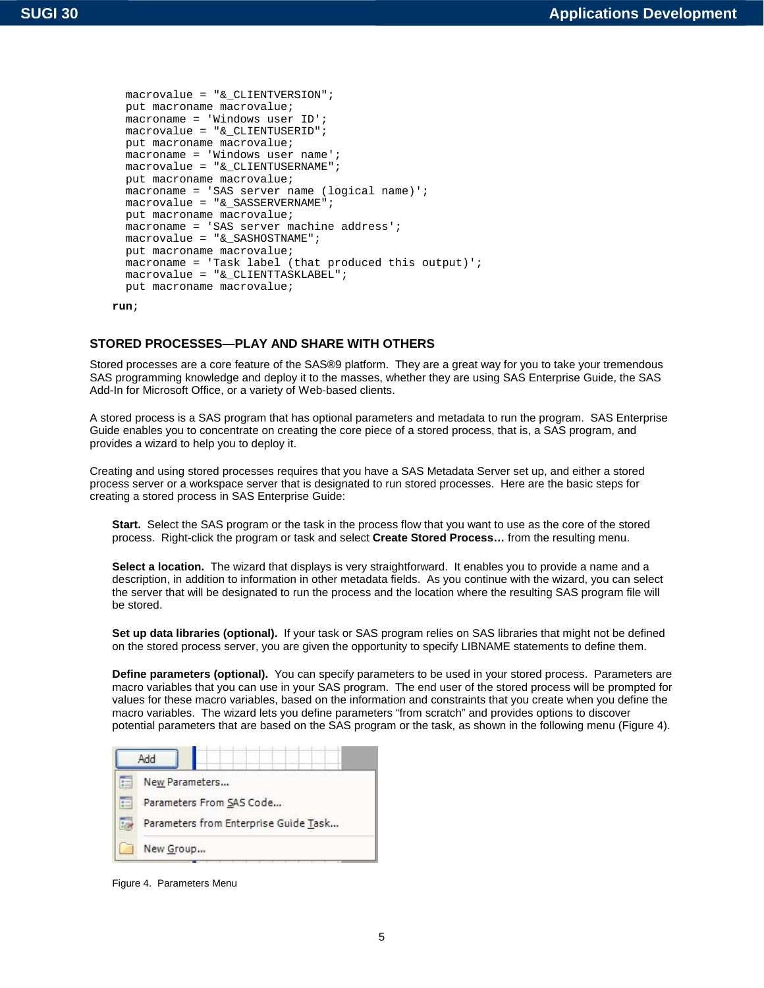```
 macrovalue = "&_CLIENTVERSION"; 
 put macroname macrovalue; 
 macroname = 'Windows user ID'; 
 macrovalue = "&_CLIENTUSERID"; 
 put macroname macrovalue; 
 macroname = 'Windows user name'; 
 macrovalue = "&_CLIENTUSERNAME"; 
 put macroname macrovalue; 
 macroname = 'SAS server name (logical name)'; 
 macrovalue = "&_SASSERVERNAME"; 
 put macroname macrovalue; 
macroname = 'SAS server machine address';
 macrovalue = "&_SASHOSTNAME"; 
 put macroname macrovalue; 
macroname = 'Task label (that produced this output)';
 macrovalue = "&_CLIENTTASKLABEL"; 
 put macroname macrovalue;
```
**run**;

# **STORED PROCESSES—PLAY AND SHARE WITH OTHERS**

Stored processes are a core feature of the SAS®9 platform. They are a great way for you to take your tremendous SAS programming knowledge and deploy it to the masses, whether they are using SAS Enterprise Guide, the SAS Add-In for Microsoft Office, or a variety of Web-based clients.

A stored process is a SAS program that has optional parameters and metadata to run the program. SAS Enterprise Guide enables you to concentrate on creating the core piece of a stored process, that is, a SAS program, and provides a wizard to help you to deploy it.

Creating and using stored processes requires that you have a SAS Metadata Server set up, and either a stored process server or a workspace server that is designated to run stored processes. Here are the basic steps for creating a stored process in SAS Enterprise Guide:

**Start.** Select the SAS program or the task in the process flow that you want to use as the core of the stored process. Right-click the program or task and select **Create Stored Process…** from the resulting menu.

**Select a location.** The wizard that displays is very straightforward. It enables you to provide a name and a description, in addition to information in other metadata fields. As you continue with the wizard, you can select the server that will be designated to run the process and the location where the resulting SAS program file will be stored.

**Set up data libraries (optional).** If your task or SAS program relies on SAS libraries that might not be defined on the stored process server, you are given the opportunity to specify LIBNAME statements to define them.

**Define parameters (optional).** You can specify parameters to be used in your stored process. Parameters are macro variables that you can use in your SAS program. The end user of the stored process will be prompted for values for these macro variables, based on the information and constraints that you create when you define the macro variables. The wizard lets you define parameters "from scratch" and provides options to discover potential parameters that are based on the SAS program or the task, as shown in the following menu (Figure 4).



Figure 4. Parameters Menu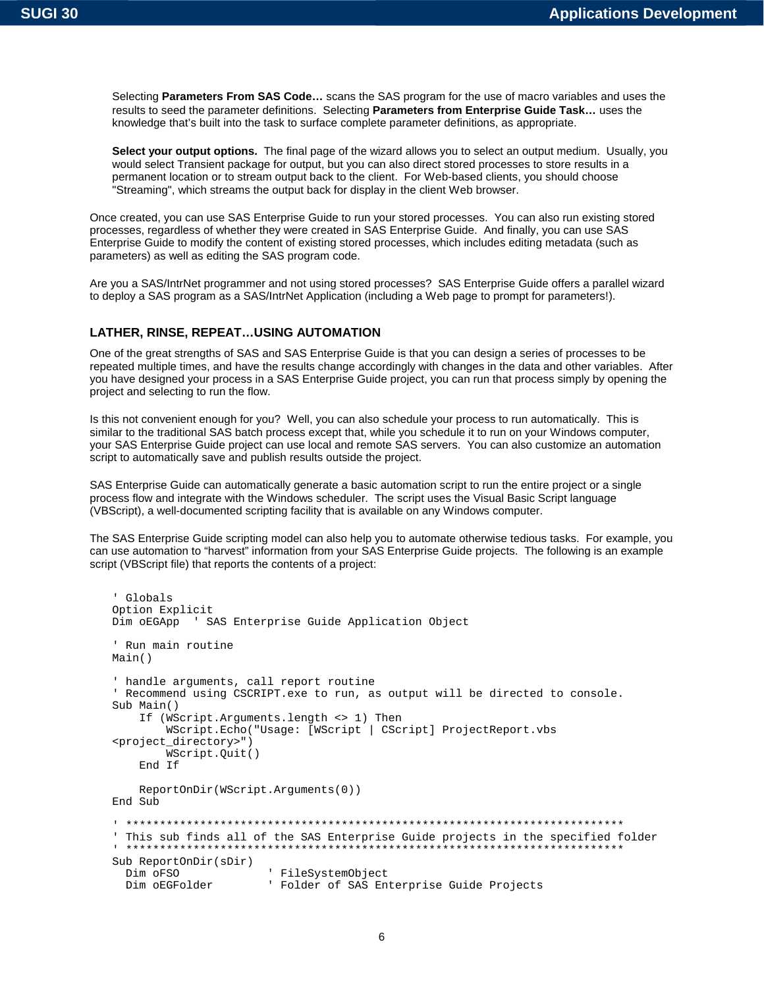Selecting **Parameters From SAS Code…** scans the SAS program for the use of macro variables and uses the results to seed the parameter definitions. Selecting **Parameters from Enterprise Guide Task…** uses the knowledge that's built into the task to surface complete parameter definitions, as appropriate.

**Select your output options.** The final page of the wizard allows you to select an output medium. Usually, you would select Transient package for output, but you can also direct stored processes to store results in a permanent location or to stream output back to the client. For Web-based clients, you should choose "Streaming", which streams the output back for display in the client Web browser.

Once created, you can use SAS Enterprise Guide to run your stored processes. You can also run existing stored processes, regardless of whether they were created in SAS Enterprise Guide. And finally, you can use SAS Enterprise Guide to modify the content of existing stored processes, which includes editing metadata (such as parameters) as well as editing the SAS program code.

Are you a SAS/IntrNet programmer and not using stored processes? SAS Enterprise Guide offers a parallel wizard to deploy a SAS program as a SAS/IntrNet Application (including a Web page to prompt for parameters!).

## **LATHER, RINSE, REPEAT…USING AUTOMATION**

One of the great strengths of SAS and SAS Enterprise Guide is that you can design a series of processes to be repeated multiple times, and have the results change accordingly with changes in the data and other variables. After you have designed your process in a SAS Enterprise Guide project, you can run that process simply by opening the project and selecting to run the flow.

Is this not convenient enough for you? Well, you can also schedule your process to run automatically. This is similar to the traditional SAS batch process except that, while you schedule it to run on your Windows computer, your SAS Enterprise Guide project can use local and remote SAS servers. You can also customize an automation script to automatically save and publish results outside the project.

SAS Enterprise Guide can automatically generate a basic automation script to run the entire project or a single process flow and integrate with the Windows scheduler. The script uses the Visual Basic Script language (VBScript), a well-documented scripting facility that is available on any Windows computer.

The SAS Enterprise Guide scripting model can also help you to automate otherwise tedious tasks. For example, you can use automation to "harvest" information from your SAS Enterprise Guide projects. The following is an example script (VBScript file) that reports the contents of a project:

```
' Globals 
Option Explicit 
Dim oEGApp ' SAS Enterprise Guide Application Object 
' Run main routine 
Main() 
' handle arguments, call report routine 
' Recommend using CSCRIPT.exe to run, as output will be directed to console. 
Sub Main() 
     If (WScript.Arguments.length <> 1) Then 
         WScript.Echo("Usage: [WScript | CScript] ProjectReport.vbs 
<project_directory>") 
         WScript.Quit() 
     End If 
     ReportOnDir(WScript.Arguments(0)) 
End Sub 
' ************************************************************************** 
' This sub finds all of the SAS Enterprise Guide projects in the specified folder 
' ************************************************************************** 
Sub ReportOnDir(sDir) 
  Dim oFSO ' FileSystemObject<br>
Dim oEGFolder ' Folder of SAS En
                        ' Folder of SAS Enterprise Guide Projects
```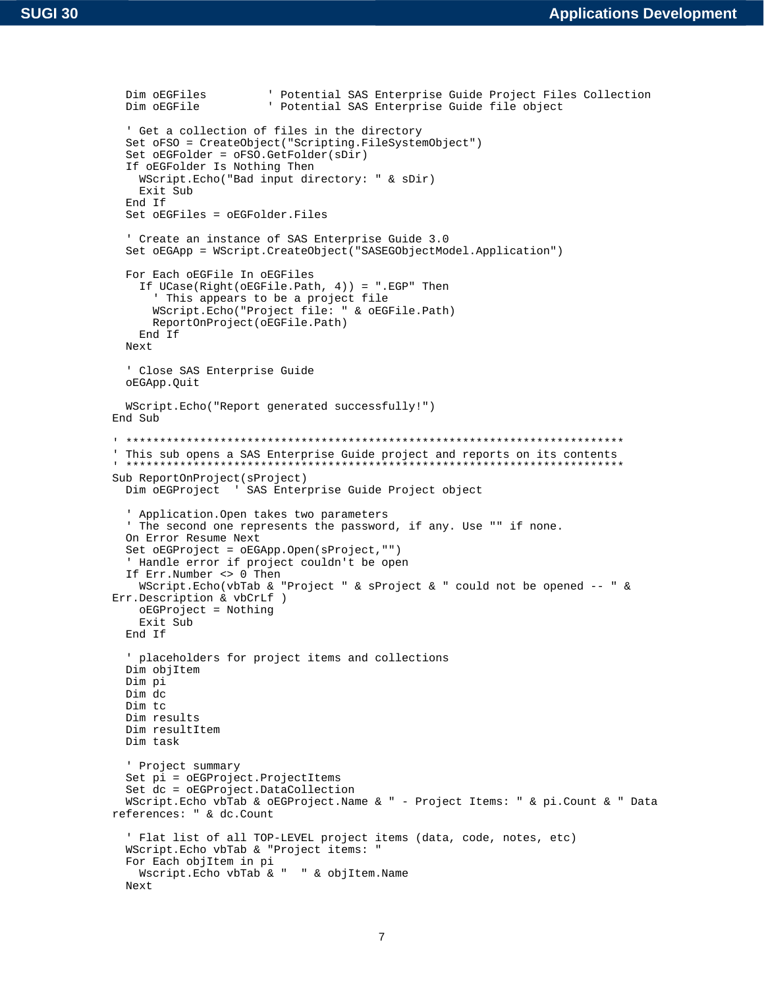```
Dim oEGFiles (buttartial SAS Enterprise Guide Project Files Collection<br>Dim oEGFile (buttartial SAS Enterprise Guide file object
                         ' Potential SAS Enterprise Guide file object
   ' Get a collection of files in the directory 
   Set oFSO = CreateObject("Scripting.FileSystemObject") 
   Set oEGFolder = oFSO.GetFolder(sDir) 
   If oEGFolder Is Nothing Then 
     WScript.Echo("Bad input directory: " & sDir) 
     Exit Sub 
   End If 
   Set oEGFiles = oEGFolder.Files 
   ' Create an instance of SAS Enterprise Guide 3.0 
   Set oEGApp = WScript.CreateObject("SASEGObjectModel.Application") 
   For Each oEGFile In oEGFiles 
     If UCase(Right(oEGFile.Path, 4)) = ".EGP" Then 
       ' This appears to be a project file 
       WScript.Echo("Project file: " & oEGFile.Path) 
       ReportOnProject(oEGFile.Path) 
     End If 
  Next 
   ' Close SAS Enterprise Guide 
   oEGApp.Quit 
  WScript.Echo("Report generated successfully!") 
End Sub 
' ************************************************************************** 
' This sub opens a SAS Enterprise Guide project and reports on its contents 
' ************************************************************************** 
Sub ReportOnProject(sProject) 
  Dim oEGProject ' SAS Enterprise Guide Project object 
   ' Application.Open takes two parameters 
   ' The second one represents the password, if any. Use "" if none. 
  On Error Resume Next 
   Set oEGProject = oEGApp.Open(sProject,"") 
   ' Handle error if project couldn't be open 
   If Err.Number <> 0 Then 
     WScript.Echo(vbTab & "Project " & sProject & " could not be opened -- " & 
Err.Description & vbCrLf ) 
     oEGProject = Nothing 
     Exit Sub 
  End If 
   ' placeholders for project items and collections 
   Dim objItem 
  Dim pi 
   Dim dc 
   Dim tc 
   Dim results 
  Dim resultItem 
  Dim task 
   ' Project summary 
   Set pi = oEGProject.ProjectItems 
   Set dc = oEGProject.DataCollection 
  WScript.Echo vbTab & oEGProject.Name & " - Project Items: " & pi.Count & " Data 
references: " & dc.Count 
   ' Flat list of all TOP-LEVEL project items (data, code, notes, etc) 
   WScript.Echo vbTab & "Project items: " 
   For Each objItem in pi 
     Wscript.Echo vbTab & " " & objItem.Name 
   Next
```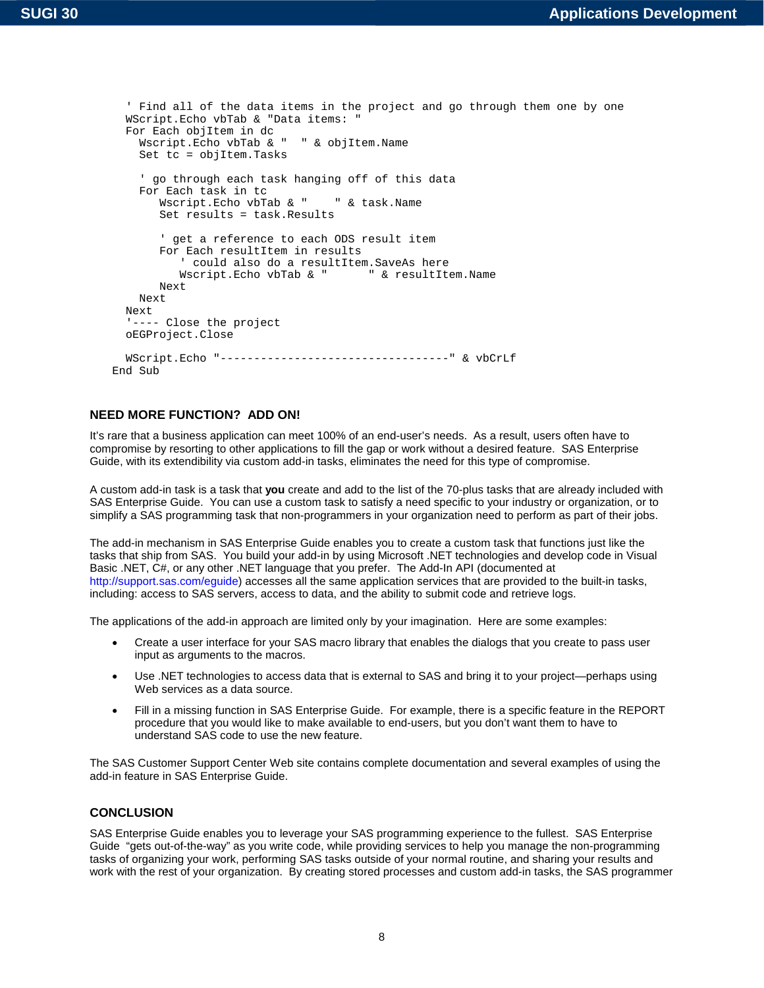```
 ' Find all of the data items in the project and go through them one by one 
   WScript.Echo vbTab & "Data items: " 
   For Each objItem in dc 
     Wscript.Echo vbTab & " " & objItem.Name 
     Set tc = objItem.Tasks 
     ' go through each task hanging off of this data 
     For Each task in tc 
       Wscript.Echo vbTab & " " & task.Name
        Set results = task.Results 
        ' get a reference to each ODS result item 
        For Each resultItem in results 
            ' could also do a resultItem.SaveAs here 
          Wscript.Echo vbTab & "
        Next 
     Next 
   Next 
   '---- Close the project 
   oEGProject.Close 
   WScript.Echo "----------------------------------" & vbCrLf 
End Sub
```
# **NEED MORE FUNCTION? ADD ON!**

It's rare that a business application can meet 100% of an end-user's needs. As a result, users often have to compromise by resorting to other applications to fill the gap or work without a desired feature. SAS Enterprise Guide, with its extendibility via custom add-in tasks, eliminates the need for this type of compromise.

A custom add-in task is a task that **you** create and add to the list of the 70-plus tasks that are already included with SAS Enterprise Guide. You can use a custom task to satisfy a need specific to your industry or organization, or to simplify a SAS programming task that non-programmers in your organization need to perform as part of their jobs.

The add-in mechanism in SAS Enterprise Guide enables you to create a custom task that functions just like the tasks that ship from SAS. You build your add-in by using Microsoft .NET technologies and develop code in Visual Basic .NET, C#, or any other .NET language that you prefer. The Add-In API (documented at [http://support.sas.com/eguide\)](http://support.sas.com/eguide) accesses all the same application services that are provided to the built-in tasks, including: access to SAS servers, access to data, and the ability to submit code and retrieve logs.

The applications of the add-in approach are limited only by your imagination. Here are some examples:

- Create a user interface for your SAS macro library that enables the dialogs that you create to pass user input as arguments to the macros.
- Use .NET technologies to access data that is external to SAS and bring it to your project—perhaps using Web services as a data source.
- Fill in a missing function in SAS Enterprise Guide. For example, there is a specific feature in the REPORT procedure that you would like to make available to end-users, but you don't want them to have to understand SAS code to use the new feature.

The SAS Customer Support Center Web site contains complete documentation and several examples of using the add-in feature in SAS Enterprise Guide.

## **CONCLUSION**

SAS Enterprise Guide enables you to leverage your SAS programming experience to the fullest. SAS Enterprise Guide "gets out-of-the-way" as you write code, while providing services to help you manage the non-programming tasks of organizing your work, performing SAS tasks outside of your normal routine, and sharing your results and work with the rest of your organization. By creating stored processes and custom add-in tasks, the SAS programmer